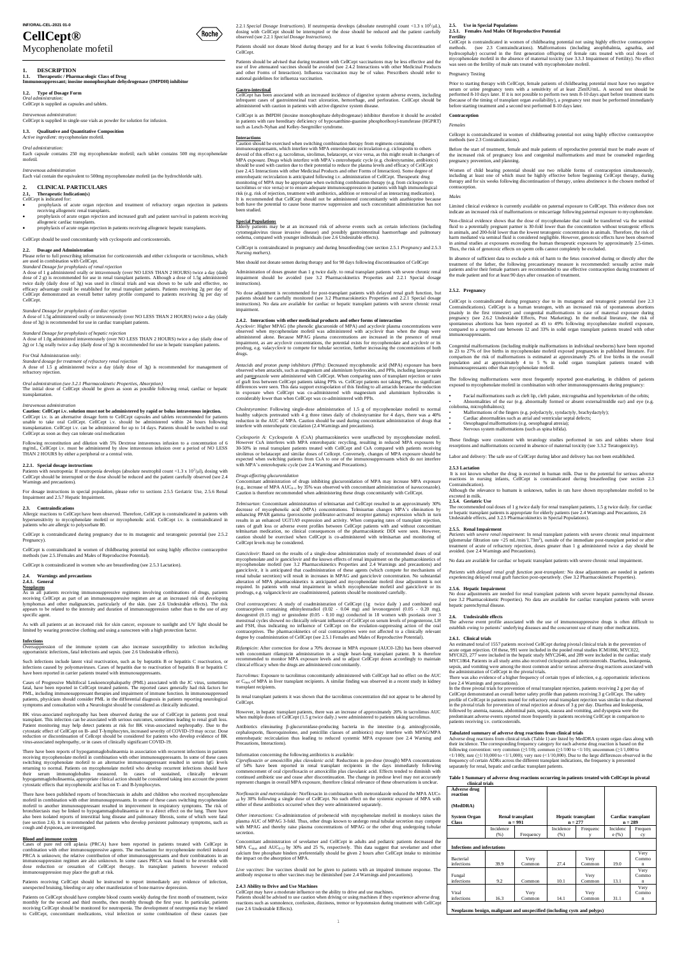# **CellCept®**

# Mycophenolate mofetil

# **1. DESCRIPTION**

**1.1. Therapeutic / Pharmacologic Class of Drug Immunosuppressant; inosine monophosphate dehydrogenase (IMPDH) inhibitor**

### **1.3. Qualitative and Quantitative Composition** *Active ingredient:* mycop

**1.2. Type of Dosage Form**

*Oral administration:* CellCept is supplied as capsules and tablets.

*Intravenous administration:* 

CellCept is supplied in single-use vials as powder for solution for infusion.

*Oral administration:* 

Each capsule contains 250 mg mycophenolate mofetil; each tablet contains 500 mg mycophenolate

mofetil.

## *Intravenous administration*

Each vial contain the equivalent to 500mg mycophenolate mofetil (as the hydrochloride salt).

Please refer to full prescribing information for corticosteroids and either ciclosporin or tacrolimus, which are used in combination with CellCept.

## **2. CLINICAL PARTICULARS**

**2.1, Therapeutic Indication(s)** CellCept is indicated for:

- prophylaxis of acute organ rejection and treatment of refractory organ rejection in patients
- receiving allogeneic renal transplants. prophylaxis of acute organ rejection and increased graft and patient survival in patients receiving llogeneic cardiac transplants.
- prophylaxis of acute organ rejection in patients receiving allogeneic hepatic transplants.

*Standard Dosage for prophylaxis of cardiac rejection* A dose of 1.5g administered orally or intravenously (over NO LESS THAN 2 HOURS) twice a day (daily dose of 3g) is recommended for use in cardiac transplant patients.

CellCept should be used concomitantly with cyclosporin and corticosteroids.

## **2.2. Dosage and Administration**

transplantation. *Intravenous* 

**Caution: CellCept i.v. solution must not be administered by rapid or bolus intravenous injection.**<br>CellCept i.v. is an alternative dosage form to CellCept capsules and tablets recommended for patients<br>unable to take oral transplantation. CellCept i.v. can be administered for up to 14 days. Patients should be switched to oral CellCept as soon as they can tolerate oral medication

Following reconstitution and dilution with 5% Dextrose intravenous infusion to a concentration of 6 mg/mL, CellCept i.v. must be administered by slow intravenous infusion over a period of NO LESS mg/inL, CenCept I.v. must be administered by the THAN 2 HOURS by either a peripheral or a central vein.

*Standard Dosage for prophylaxis of renal rejection* A dose of 1 g administered orally or intravenously (over NO LESS THAN 2 HOURS) twice a day (daily dose of 2 g) is recommended for use in renal transplant patients. Although a dose of 1.5g administered twice daily (daily dose of 3g) was used in clinical trials and was shown to be safe and effective, no<br>efficacy advantage could be established for renal transplant patients. Patients receiving 2g per day of<br>CellCept demonst CellCept.

*Standard Dosage for prophylaxis of hepatic rejection*

A dose of 1.0g administred intravenousely (over NO LESS THAN 2 HOURS) twice a day (daily dose of 2g) or 1.5g orally twice a day (daily dose of 3g) is recommended for use in hepatic transplant patients.

For Oral Administration only:

As in all patients receiving immunosuppressive regimens involving combinations of drugs, patients<br>receiving CellCept as part of an immunosuppressive regimen are at an increased risk of developing<br>lymphomas and other malign appears to be related to the intensity and duration of immunosuppression rather than to the use of any specific agent.

*Standard dosage for treatment of refractory renal rejection* A dose of 1.5 g administered twice a day (daily dose of 3g) is recommended for management of

refractory rejection.

**Oversuppression** of the immune system can also increase susceptibility to infection including opportunistic infections, fatal infections and sepsis. (see 2.6 Undesirable effects).

*Oral administration (see 3.2.1 Pharmacokinetic Properties, Absorption)* The initial dose of CellCept should be given as soon as possible following renal, cardiac or hepatic

Such infections include latent viral reactivation, such as by heptatitis B or hepatitis C reactivation, or infections caused by polyomaviruses. Cases of hepatitis due to reactivation of hepatitis B or hepatitis C have been reported in carrier patients treated with immunosuppressants.

Cases of Progressive Multifocal Leukoencephalopathy (PML) associated with the JC virus, sometimes fatal, have been reported in CellCept treated patients. The reported cases generally had risk factors for PML, including immunosuppressant therapies and impairment of immune function. In immunosuppressed<br>patients, physicians should consider PML in the differential diagnosis in patients reporting neurological<br>symptoms and consu

## **2.2.1. Special dosage instructions**

Patients with neutropenia: If neutropenia develops (absolute neutrophil count <1.3 x  $10^3/\mu$ ), dosing with CellCept should be interrupted or the dose should be reduced and the patient carefully observed (see 2.4 ngs and precautions)

For dosage instructions in special population, please refer to sections 2.5.5 Geriatric Use, 2.5.6 Renal Impairment and 2.5.7 Hepatic Impairment.

## **2.3. Contraindications**

Allergic reactions to CellCept have been observed. Therefore, CellCept is contraindicated in patients with hypersensitivity to mycophenolate mofetil or mycophenolic acid. CellCept i.v. is contraindicated in patients who are allergic to polysorbate 80.

CellCept is contraindicated during pregnancy due to its mutagenic and teratogenic potential (see 2.5.2 Pregnancy).

CellCept is contraindicated in women of childbearing potential not using highly effective contraceptive methods (see 2.5.1Females and Males of Reproductive Potential).

CellCept is contraindicated in women who are breastfeeding (see 2.5.3 Lactation).

## **2.4. Warnings and precautions**

## **2.4.1. General**

**Neoplasms**

CellCept has been associated with an increased incidence of digestive system adverse events, including infrequent cases of gastrointestinal tract ulceration, hemorrhage, and perforation. CellCept should be inistered with caution in patients with active digestive system disease

As with all patients at an increased risk for skin cancer, exposure to sunlight and UV light should be limited by wearing protective clothing and using a sunscreen with a high protection factor.

 $\text{CellCept}$  is an IMPDH (inosine monophosphate dehydrogenase) inhibitor therefore it should be in patients with rare hereditary deficiency of hypoxanthine-guanine phosphoribosyl-transferase (HGPRT) such as Lesch-Nyhan and Kelley-Seegmiller syndrome.

## **Infections**

BK virus-associated nephropathy has been observed during the use of CellCept in patients post renal transplant. This infection can be associated with serious outcomes, sometimes leading to renal graft loss.

2.2.1 Special Dosage Instructions). If neutropenia develops (absolute neutrophil count <1.3 x 10<sup>3</sup>/µL), dosing with CellCept should be interrupted or the dose should be reduced and the patient carefully observed (see 2.2

Patient monitoring may help detect patients at risk for BK virus-associated nephropathy. Due to the cytostatic effect of CellCept on B- and T-lymphocytes, increased severity of COVID-19 may occur. Dose reduction or discontinuation of Cellcept should be considered for patients who develop evidence of BK virus-associated nephropathy, or in cases of clinically significant COVID-19.

*Antacids and proton pump inhibitors (PPIs)*: Decreased mycophenolic acid (MPA) exposure has been observed when antacids, such as magnesium and aluminium hydroxides, and PPIs, including lansoprazole and pantoprazole were administered with CellCept. When comparing rates of transplant rejection or rates of graft loss between CellCept patients taking PPIs vs. CellCept patients not taking PPIs, no significant differences were seen. This data support extrapolation of this finding to all antacids because the reduction in expo

There have been reports of hypogammaglobulinaemia in association with recurrent infections in patients receiving mycophenolate mofetil in combination with other immunosuppressants. In some of these cases switching mycophenolate mofetil to an alternative immunosuppressant resulted in serum IgG levels returning to normal. Patients on mycophenolate mofetil who develop recurrent infections should have their serum immunoglobulins measured. In cases of sustained, clinically relevant<br>hypogammaglobulinaemia, appropriate clinical action should be considered taking into account the potent dinaemia, appropriate clinical action should be considered taking into account the potential intervents of the considered taking into account the potent cytostatic effects that mycophenolic acid has on T- and B-lymphocytes.

*Cholestyramine:* Following single-dose administration of 1.5 g of mycophenolate mofetil to normal<br>healthy subjects pretreated with 4 g three times daily of cholestyramine for 4 days, there was a 40%<br>reduction in the AUC o interfere with enterohepatic circulation (2.4 Warnings and precautions).

*Cyclosporin A:* Cyclosporin A (CsA) pharmacokinetics were unaffected by mycoph However CsA interferes with MPA enterohepatic recycling, resulting in reduced MPA exposures by 30-50% in renal transplant patients treated with CellCept and CsA compared with patients receiving sirolimus or belatacept and with MPA's enterohepatic cycle (see 2.4 Warning and Precautions).

Concomitant administration of drugs inhibiting glucuronidation of MPA may increase MPA exposure (e.g., increase of MPA AUC<sub>0∞</sub> by 35% was observed with concomitant administration of isavuconazole). Caution is therefore recommended when administering these drugs concomitantly with CellCept.

There have been published reports of bronchiectasis in adults and children who received mycophenolate mofetil in combination with other immunosuppressants. In some of these cases switching mycophenolate mofetil to another immunosuppressant resulted in improvement in respiratory symptoms. The risk of bronchiectasis may be linked to hypogammaglobulinaemia or to a direct effect on the lung. There have also been isolated reports of interstitial lung disease and pulmonary fibrosis, some of which were fatal (see section 2.6). It is recommended that patients who develop persistent pulmonary symptoms, such as cough and dyspnoea, are investigated.

## **Blood and immune system**

*Ganciclovir*: Based on the results of a single-dose administration study of recommended doses of oral mycophenolate and iv ganciclovir and the known effects of renal impairment on the pharmacokinetics of<br>mycophenolate mofetil (see 3.2 Pharmacokinetics Properties and 2.4 Warnings and precautions) and<br>ganciclovir, it is anti renal tubular secretion) will result in increases in MPAG and ganciclovir concentration. No substantial alteration of MPA pharmacokinetics is anticipated and mycophenolate mofetil dose adjustment is not required. In patients with renal impairment in which mycophenolate mofetil and ganciclovir or its prodrugs, e.g. valganciclovir are coadministered, patients should be monitored carefully.

Cases of pure red cell aplasia (PRCA) have been reported in patients treated with CellCept in combination with other immunosuppressive agents. The mechanism for mycophenolate mofetil induced PRCA is unknown; the relative contribution of other immunosuppressants and their combinations in an immunosuppression regimen are also unknown. In some cases PRCA was found to be reversible with dose reduction or cessation of CellCept therapy. In transplant patients however reduced dose reduction or cessation of CellCept therapy. In transplant patients however reduced immunosuppression may place the graft at risk.

Patients receiving CellCept should be instructed to report immediately any evidence of infection. unexpected bruising, bleeding or any other manifestation of bone marrow depress

*Oral contraceptives*: A study of coadministration of CellCept (1g twice daily ) and combined oral contraceptives containing ethinylestradiol  $(0.02 - 0.04$  mg) and levonorgestrel  $(0.05 - 0.20$  mg), containing ethinylestra and FSH, thus indicating no influence of CellCept on the ovulation-suppressing action of the oral contraceptives. The pharmacokinetics of oral contraceptives were not affected to a clinically relevant degree by coadministration of CellCept (see 2.5.1 Females and Males of Reproductive Potential).

Patients on CellCept should have complete blood counts weekly during the first month of treatment, twice monthly for the second and third months, then monthly through the first year. In particular, patients receiving CellCept should be monitored for neutropenia. The development of neutropenia may be related to CellCept, concomitant medications, viral infection or some combination of these causes (see

However, in hepatic transplant patients, there was an increase of approximately 20% in tacrolimus AUC when multiple doses of CellCept (1.5 g twice daily.) were administered to patients taking tacrolimus.

Patients should not donate blood during therapy and for at least 6 weeks following discontinuation of CellCept.

Information concerning the following antibiotics is available:<br>*Ciprofloxacin or amoxicillin plus clavulanic acid:* Reductions in pre-dose (trough) MPA concentrations<br>of 54% have been reported in renal transplant recipient commencement of oral ciprofloxacin or amoxicillin plus clavulanic acid. Effects tended to diminish with continued antibiotic use and cease after discontinuation. The change in predose level may not accurately represent changes in overall MPA exposure, therefore clinical relevance of these observations is unclear.

*Norfloxacin and metronidazole:* Norfloxacin in combination with metronidazole reduced the MPA AUC<sub>0</sub> 48 by 30% following a single dose of CellCept. No such effect on the systemic exposure of MPA with either of these antibiotics occurred when they were administered separately.

Patients should be advised that during treatment with CellCept vaccinations may be less effective and the use of live attenuated vaccines should be avoided (see 2.4.2 Interactions with other Medicinal Products and other Forms of Interaction). Influenza vaccination may be of value. Prescribers should refer to national guidelines for influenza vaccination.

## **Gastro-intestinal**

 $\langle$ Roche $\rangle$ 

Cellcept is contraindicated in women of childbearing potential not using highly effective contraceptive methods (see 2.3 Contraindications).

**Interactions** Caution should be exercised when switching combination therapy from regimens containing immunosuppressants, which interfere with MPA enterohepatic recirculation e.g. ciclosporin to others<br>devoid of this effect e.g. tacrolimus, sirolimus, belatacept, or vice versa, as this might result in changes of<br>MPA exposu enterohepatic recirculation is anticipated following i.v. administration of CellCept. Therapeutic drug monitoring of MPA may be appropriate when switching combination therapy (e.g. from ciclosporin to<br>tacrolimus or vice versa) or to ensure adequate immunosuppression in patients with high immunological<br>risk (e.g. risk of rej It is recommended that CellCept should not be administered concomitantly with azathioprine because both have the potential to cause bone marrow suppression and such concomitant administration has not been studied.

In absence of sufficient data to exclude a risk of harm to the fetus conceived during or directly after the treatment of the father, the following precautionary measure is recommended: sexually active male<br>patients and/or their female partners are recommended to use effective contraception during treatment of<br>the male patient an

**Special Populations** Elderly patients may be at an increased risk of adverse events such as certain infections (including cytomegalovirus tissue invasive disease) and possibly gastrointestinal haemorrhage and pulmonary oedema, compared with younger individuals (see 2.6 Undesirable effects).

CellCept is contraindicated in pregnancy and during breastfeeding (see section 2.5.1 *Pregnancy* and 2.5.3 *Nursing mothers)*.

Men should not donate semen during therapy and for 90 days following discontinuation of CellCept

Congenital malformations (including multiple malformations in individual newborns) have been reported in 23 to 27% of live births in mycophenolate mofetil exposed pregnancies in published literature. For<br>comparison the risk of malformations is estimated at approximately 2% of live births in the overall<br>population and at ap unosupressants other than mycophenolate mofetil.

Administration of doses greater than 1 g twice daily. to renal transplant patients with severe chronic renal impairment should be avoided (see 3.2 Pharmacokinetics Properties and 2.2.1 Special dosage instructions).

No dose adjustment is recommended for post-transplant patients with delayed renal graft function, but patients should be carefully monitored (see 3.2 Pharmacokinetics Properties and 2.2.1 Special dosage instructions). No data are available for cardiac or hepatic transplant patients with severe chronic renal impairment.

**2.4.2. Interactions with other medicinal products and other forms of interaction** *Acyclovir*: Higher MPAG (the phenolic glucuronide of MPA) and acyclovir plasma concentrations were observed when mycophenolate mofetil was administered with acyclovir than when the drugs were administered alone. Because MPAG plasma concentrations are increased in the presence of renal impairment, as are acyclovir concentrations, the potential exists for mycophenolate and acyclovir or its prodrug, e.g. valacyclovir to compete for tubular secretion, further increasing the concentrations of both drugs.

> No dose adjustments are needed for renal transplant patients with severe hepatic parenchymal disease. (see 3.2 Pharmacokinetic Properties). No data are available for cardiac transplant patients with severe

> Adverse drug reactions from clinical trials (Table 1) are listed by MedDRA system organ class along with their incidence. The corresponding frequency category for each adverse drug reaction is based on the following convention: very common  $(>1/10)$ ; common  $(>1/100$  to  $<1/10$ ); uncommon  $(>1/1,000)$  to  $\langle 1/100 \rangle$ ; rare ( $\geq 1/10,000$  to  $\langle 1/1,000 \rangle$ ; very rare ( $\langle 1/10,000 \rangle$ ). Due to the large differences observed in the frequency of certain ADRs across the different transplant indications, the frequency is presented separately for renal, hepatic and cardiac transplant patients.

## *Drugs affecting glucuronidation*

*Telmisartan*: Concomitant administration of telmisartan and CellCept resulted in an approximately 30% decrease of mycophenolic acid (MPA) concentrations. Telmisartan changes MPA's elimination by enhancing PPAR gamma (peroxisome proliferator-activated receptor gamma) expression which in turn results in an enhanced UGT1A9 expression and activity. When comparing rates of transplant rejection, rates of graft loss or adverse event profiles between CellCept patients with and without concomitant telmisartan medication, no clinical consequences of the pharmacokinetic DDI were seen. However, caution should be exercised when CellCept is co-administered with telmisartan and monitoring of CellCept levels may be considered.

*Rifampicin*: After correction for dose a 70% decrease in MPA exposure (AUC0-12h) has been observed with concomitant rifampicin administration in a single heart-lung transplant patient. It is therefore recommended to monitor MPA exposure levels and to adjust CellCept doses accordingly to maintain clinical efficacy when the drugs are administered concomitantly.

*Tacrolimus:* Exposure to tacrolimus concomitantly administered with CellCept had no effect on the AUC or Cmax of MPA in liver transplant recipients. A similar finding was observed in a recent study in kidney transplant recipients.

In renal transplant patients it was shown that the tacrolimus concentration did not appear to be altered by CellCept.

Antibiotics eliminating β-glucuronidase-producing bacteria in the intestine (e.g. aminoglycoside, cephalosporin, fluoroquinolone, and penicillin classes of antibiotics) may interfere with MPAG/MPA enterohepatic recirculation thus leading to reduced systemic MPA exposure (see 2.4 Warning and terms) Precautions, Interactions).

*Other interactions:* Co-administration of probenecid with mycophenolate mofetil in monkeys raises the plasma AUC of MPAG 3-fold. Thus, other drugs known to undergo renal tubular secretion may compete with MPAG and thereby raise plasma concentrations of MPAG or the other drug undergoing tubular secretion.

Concomitant administration of sevelamer and CellCept in adults and pediatric patients decreased the MPA C<sub>max</sub> and AUC<sub>0-12</sub> by 30% and 25 %, respectively. This data suggest that sevelamer and other calcium free phosphate binders preferentially should be given 2 hours after CellCept intake to minimise the impact on the absorption of MPA.

*Live vaccines*: live vaccines should not be given to patients with an impaired immune response. The antibody response to other vaccines may be diminished (see 2.4 Warnings and precautions).

### **2.4.3 Ability to Drive and Use Machines**

CellCept may have a moderate influence on the ability to drive and use machines. Patients should be advised to use caution when driving or using machines if they experience adverse drug reactions such as somnolence, confusion, dizziness, tremor or hypotension during treatment with CellCept (see 2.6 Undesirable Effects).

## **2.5. Use in Special Populations**

### **2.5.1. Females And Males Of Reproductive Potential Fertility**

CellCept is contraindicated in women of childbearing potential not using highly effective contraceptive methods. (see 2.3 Contraindications). Malformations (including anophthalmia, agnathia, and hydrocephaly) occurred in t was seen on the fertility of male rats treated with mycophenolate mofetil.

## Pregnancy Testing

Prior to starting therapy with CellCept, female patients of childbearing potential must have two negative serum or urine pregnancy tests with a sensitivity of at least 25mIU/mL. A second test should be performed 8-10 days later. If it is not possible to perform two tests 8-10 days apart before treatment starts (because of the timing of transplant organ availability), a pregnancy test must be performed immediately before starting treatment and a second test performed 8-10 days later.

## **Contraception**

*Females*

Before the start of treatment, female and male patients of reproductive potential must be made aware of the increased risk of pregnancy loss and congenital malformations and must be counseled regarding pregnancy prevention, and planning.

Women of child bearing potential should use two reliable forms of contraception simultaneously, including at least one of which must be highly effective before beginning CellCept therapy, during therapy and for six weeks following discontinuation of therapy, unless abstinence is the chosen method of contraception.

### *Males*

Limited clinical evidence is currently available on paternal exposure to CellCept. This evidence does not indicate an increased risk of malformations or miscarriage following paternal exposure to mycophenolate.

Non-clinical evidence shows that the dose of mycophenolate that could be transferred via the seminal fluid to a potentially pregnant partner is 30-fold lower than the concentration without teratogenic effects in animals, and 200-fold lower than the lowest teratogenic concentration in animals. Therefore, the risk of harm mediated via seminal fluid is considered negligible. However, genotoxic effects have been observed in animal studies at exposures exceeding the human therapeutic exposures by approximately 2.5-times. Thus, the risk of genotoxic effects on sperm cells cannot completely be excluded.

### **2.5.2. Pregnancy**

CellCept is contraindicated during pregnancy due to its mutagenic and teratogenic potential (see 2.3 Contraindications). CellCept is a human teratogen, with an increased risk of spontaneous abortions (mainly in the first trimester) and congenital malformations in case of maternal exposure during<br>pregnancy (see 2.6.2 Undesirable Effects, Post Marketing). In the medical literature, the risk of<br>spontaneous abortions has b immunosuppressants.

The following malformations were most frequently reported post-marketing, in children of patients exposed to mycophenolate mofetil in combination with other immunosuppressants during pregnancy:

**•** Facial malformations such as cleft lip, cleft palate, micrognathia and hypertelorism of the orbits; • Abnormalities of the ear (e.g. abnormally formed or absent external/middle ear) and eye (e.g. coloboma, microphthalmos);

• Malformations of the fingers (e.g. polydactyly, syndactyly, brachydactyly); • Cardiac abnormalities such as atrial and ventricular septal defects;

• Oesophageal malformations (e.g. oesophageal atresia); • Nervous system malformations (such as spina bifida).

These findings were consistent with teratology studies performed in rats and rabbits where fetal resorptions and malformations occurred in absence of maternal toxicity (see 3.3.2 Teratogenicity).

Labor and delivery: The safe use of CellCept during labor and delivery has not been established.

**2.5.3 Lactation**

It is not known whether the drug is excreted in human milk. Due to the potential for serious adverse reactions in nursing infants, CellCept is contraindicated during breastfeeding (see section 2.3

Contraindication).

excreted in milk.<br>2.5.4. Geriatric Use

Although the relevance to humans is unknown, tudies in rats have shown mycophenolate mofetil to be

**2.5.4. Geriatric Use**<br>The recommended oral doses of 1 g twice daily for renal transplant patients, 1.5 g twice daily. for cardiac<br>or hepatic transplant patients is appropriate for elderly patients (see 2.4 Warnings and Pr

*Patients with severe renal impairment*: In renal transplant patients with severe chronic renal impairment<br>(glomerular filtration rate <25 mL/min/1.73m<sup>2</sup>), outside of the immediate post-transplant period or after<br>treatmen

**2.5.5. Renal Impairment**

avoided. (see 2.4 Warnings and Precautions).

No data are available for cardiac or hepatic transplant patients with severe chronic renal impairment. *Patients with delayed renal graft function post-transplant:* No dose adjustments are needed in patients experiencing delayed renal graft function post-operatively. (See 3.2 Pharmacokinetic Properties).

**2.5.6. Hepatic Impairment** 

hepatic parenchymal disease. **2.6. Undesirable effects**

The adverse event profile associated with the use of immunosuppressive drugs is often difficult to establish owing to patients' underlying diseases and the concurrent use of many other medications.

**2.6.1. Clinical trials**

acute organ rejection. Of these, 991 were included in the pooled renal studies ICM1866, MYC022, MYC023, 277 were included in the hepatic study MYC2646, and 289 were included in the cardiac study MYC1864. Patients in all study arms also received ciclosporin and corticosteroids. Diarrhea, leukopenia, sepsis, and vomiting were among the most common and/or serious adverse drug reactions associated with

There was also evidence of a higher frequency of certain types of infection, e.g. opportunistic infections<br>(see 2.4 Wamings and precautions).<br>In the three pivotal trials for prevention of renal transplant rejection, patien

CellCept demonstrated an overall better safety profile than patients receiving 3 g CellCept. The safety<br>profile of CellCept in patients treated for refractory renal transplant rejection was similar to that observed<br>in the

An estimated total of 1557 patients received CellCept during pivotal clinical trials in the pre

the administration of CellCept in the pivotal trials.

followed by anemia, nausea, abdominal pain, sepsis, nausea and vomiting, and dyspepsia were the predominant adverse events reported more frequently in patients receiving CellCept in comparison to

patients receiving i.v. corticosteroids.

## **Tabulated summary of adverse drug reactions from clinical trials**

### **Table 1 Summary of adverse drug reactions occurring in patients treated with CellCept in pivotal clinical trials**

| <b>Adverse drug</b><br>reaction<br>(MedDRA) |                  |                                      |                   |                           |                                 |         |
|---------------------------------------------|------------------|--------------------------------------|-------------------|---------------------------|---------------------------------|---------|
| <b>System Organ</b><br>Class                |                  | <b>Renal transplant</b><br>$n = 991$ | $n = 277$         | <b>Hepatic transplant</b> | Cardiac transplant<br>$n = 289$ |         |
|                                             | Incidence<br>(%) | Frequency                            | Incidence<br>(% ) | Frequenc                  | Incidenc<br>e(%)                | Frequen |

## **Infections** and infestati

|            |      |        |      |        |      | Very  |
|------------|------|--------|------|--------|------|-------|
| Bacterial  |      | Very   |      | Very   |      | Commo |
| infections | 39.9 | Common | 27.4 | Common | 19.0 | n     |
|            |      |        |      |        |      | Very  |
| Fungal     |      |        |      | Very   |      | Commo |
| infections | 9.2  | Common | 10.1 | Common | 13.1 | n     |
|            |      |        |      |        |      | Very  |
| Viral      |      | Very   |      | Very   |      | Commo |
| infections | 16.3 | Common | 14.1 | Common | 31.1 | n     |
|            |      |        |      |        |      |       |

**Neoplasms benign, malignant and unspecified (including cysts and polyps)**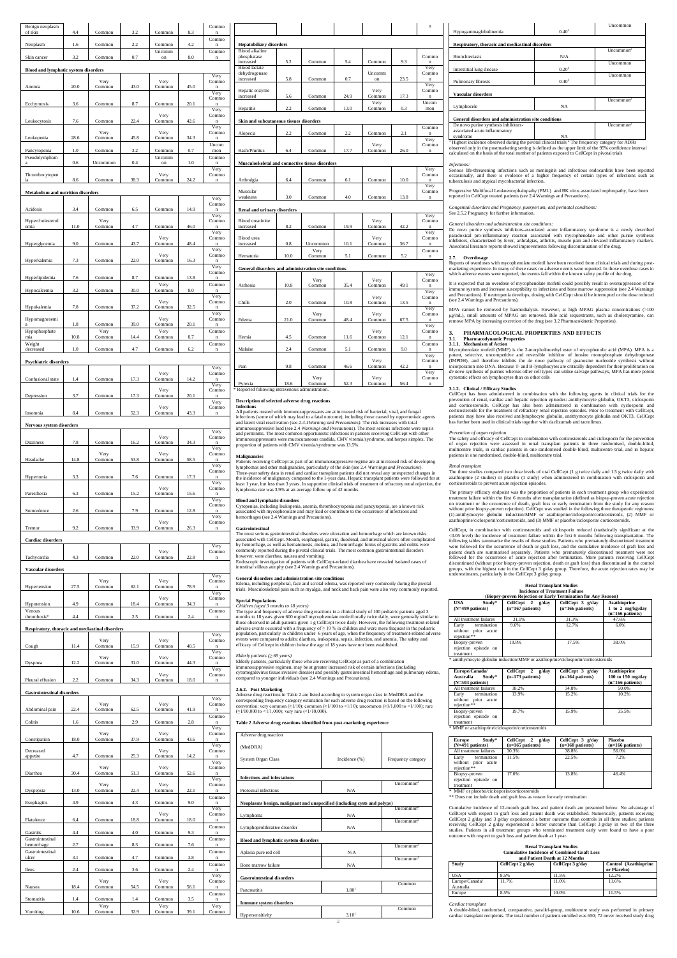| Benign neoplasm<br>of skin                      | 4.4  | Common         | 3.2  | Common         | 8.3  | Commo<br>$\bf n$              |
|-------------------------------------------------|------|----------------|------|----------------|------|-------------------------------|
| Neoplasm                                        | 1.6  | Common         | 2.2  | Common         | 4.2  | Commo<br>$\mathbf n$          |
| Skin cancer                                     | 3.2  | Common         | 0.7  | Uncomm<br>on   | 8.0  | Commo<br>$\bf n$              |
| <b>Blood and lymphatic system disorders</b>     |      |                |      |                |      | Very                          |
| Anemia                                          | 20.0 | Very<br>Common | 43.0 | Very<br>Common | 45.0 | Commo<br>$\mathbf{n}$         |
|                                                 |      |                |      |                |      | Very<br>Commo                 |
| Ecchymosis                                      | 3.6  | Common         | 8.7  | Common         | 20.1 | $\mathbf n$<br>Very           |
| Leukocytosis                                    | 7.6  | Common         | 22.4 | Very<br>Common | 42.6 | Commo<br>$\mathbf{n}$<br>Very |
| Leukopenia                                      | 28.6 | Very<br>Common | 45.8 | Very<br>Common | 34.3 | Commo<br>n                    |
| Pancytopenia                                    | 1.0  | Common         | 3.2  | Common         | 0.7  | Uncom<br>mon                  |
| Pseudolymphom<br>a                              | 0.6  | Uncommon       | 0.4  | Uncomm<br>on   | 1.0  | Commo<br>$\mathbf n$          |
| Thrombocytopen                                  |      |                |      | Very           |      | Very<br>Commo                 |
| ia                                              | 8.6  | Common         | 38.3 | Common         | 24.2 | $\bf n$                       |
| <b>Metabolism and nutrition disorders</b>       |      |                |      |                |      | Very                          |
| Acidosis                                        | 3.4  | Common         | 6.5  | Common         | 14.9 | Commo<br>Very                 |
| Hypercholesterol<br>emia                        | 11.0 | Very<br>Common | 4.7  | Common         | 46.0 | Commo<br>$\mathbf{n}$         |
|                                                 |      |                |      | Very           |      | Very<br>Commo                 |
| Hyperglycemia                                   | 9.0  | Common         | 43.7 | Common         | 48.4 | $\mathbf n$<br>Very           |
| Hyperkalemia                                    | 7.3  | Common         | 22.0 | Very<br>Common | 16.3 | Commo<br>$\bf n$              |
|                                                 |      |                |      |                |      | Very<br>Commo                 |
| Hyperlipidemia                                  | 7.6  | Common         | 8.7  | Common<br>Very | 13.8 | $\mathbf{n}$<br>Commo         |
| Hypocalcemia                                    | 3.2  | Common         | 30.0 | Common         | 8.0  | $\mathbf n$<br>Very           |
| Hypokalemia                                     | 7.8  | Common         | 37.2 | Very<br>Common | 32.5 | Commo<br>$\bf n$<br>Very      |
| Hypomagnesemi                                   | 1.8  | Common         | 39.0 | Very<br>Common | 20.1 | Commo<br>$\mathbf{n}$         |
| Hypophosphate<br>mia                            | 10.8 | Very<br>Common | 14.4 | Very<br>Common | 8.7  | Commo<br>$\mathbf n$          |
| Weight<br>decreased                             | 1.0  | Common         | 4.7  | Common         | 6.2  | Commo<br>$\mathbf{n}$         |
| <b>Psychiatric disorders</b>                    |      |                |      |                |      |                               |
|                                                 |      |                |      | Very           |      | Verv<br>Commo                 |
| Confusional state                               | 1.4  | Common         | 17.3 | Common         | 14.2 | $\mathbf n$<br>Very           |
| Depression                                      | 3.7  | Common         | 17.3 | Very<br>Common | 20.1 | Commo<br>$\mathbf n$          |
|                                                 |      |                |      | Very           |      | Very<br>Commo                 |
| Insomnia                                        | 8.4  | Common         | 52.3 | Common         | 43.3 | $\bf n$                       |
| Nervous system disorders                        |      |                |      |                |      | Very                          |
| Dizziness                                       | 7.8  | Common         | 16.2 | Very<br>Common | 34.3 | Commo<br>$\bf n$<br>Very      |
| Headache                                        | 14.8 | Very<br>Common | 53.8 | Very<br>Common | 58.5 | Commo                         |
|                                                 |      |                |      |                |      | Verv<br>Commo                 |
| Hypertonia                                      | 3.3  | Common         | 7.6  | Common         | 17.3 | $\bf n$<br>Very               |
| Paresthesia                                     | 6.3  | Common         | 15.2 | Very<br>Common | 15.6 | Commo<br>$\mathbf{n}$         |
|                                                 |      |                |      |                |      | Very<br>Commo                 |
| Somnolence                                      | 2.6  | Common         | 7.9  | Common<br>Very | 12.8 | $\mathbf n$<br>Very<br>Commo  |
| Tremor                                          | 9.2  | Common         | 33.9 | Common         | 26.3 | $\mathbf n$                   |
| <b>Cardiac disorders</b>                        |      |                |      |                |      | Very                          |
| Tachycardia                                     | 4.3  | Common         | 22.0 | Very<br>Common | 22.8 | Commo<br>$\mathbf{n}$         |
| Vascular disorders                              |      |                |      |                |      |                               |
|                                                 |      | Very           |      | Very           |      | Very<br>Commo                 |
| Hypertension                                    | 27.5 | Common         | 62.1 | Common         | 78.9 | $\mathbf n$<br>Very           |
| Hypotension                                     | 4.9  | Common         | 18.4 | Very<br>Common | 34.3 | Commo<br>$\mathbf{n}$         |
| Venous<br>thrombosis*                           | 4.4  | Common         | 2.5  | Common         | 2.4  | Commo<br>$\mathbf n$          |
| Respiratory, thoracic and mediastinal disorders |      |                |      |                |      |                               |
|                                                 |      | Very           |      | Very           |      | Very<br>Commo                 |
| Cough                                           | 11.4 | Common<br>Very | 15.9 | Common<br>Very | 40.5 | $\bf n$<br>Very<br>Commo      |
| Dyspnea                                         | 12.2 | Common         | 31.0 | Common         | 44.3 | Very                          |
| Pleural effusion                                | 2.2  | Common         | 34.3 | Very<br>Common | 18.0 | Commo<br>$\mathbf{n}$         |
| <b>Gastrointestinal disorders</b>               |      |                |      |                |      |                               |
|                                                 |      | Very           |      | Very           |      | Very<br>Commo                 |
| Abdominal pain                                  | 22.4 | Common         | 62.5 | Common         | 41.9 | $\mathbf n$<br>Commo          |
| Colitis                                         | 1.6  | Common         | 2.9  | Common         | 2.8  | n<br>Very                     |
| Constipation                                    | 18.0 | Very<br>Common | 37.9 | Very<br>Common | 43.6 | Commo<br>$\mathbf n$          |
| Decreased                                       | 4.7  |                |      | Very           | 14.2 | Very<br>Commo                 |
| appetite                                        |      | Common<br>Very | 25.3 | Common<br>Very |      | n<br>Very<br>Commo            |
| Diarrhea                                        | 30.4 | Common         | 51.3 | Common         | 52.6 | $\mathbf{n}$<br>Very          |
| Dyspepsia                                       | 13.0 | Very<br>Common | 22.4 | Very<br>Common | 22.1 | Commo<br>$\mathbf n$          |
| Esophagitis                                     | 4.9  | Common         | 4.3  | Common         | 9.0  | Commo<br>$\bf n$              |
|                                                 |      |                |      | Very           |      | Very<br>Commo                 |
| Flatulence                                      | 6.4  | Common         | 18.8 | Common         | 18.0 | n<br>Commo                    |
| Gastritis<br>Gastrointestinal                   | 4.4  | Common         | 4.0  | Common         | 9.3  | $\mathbf n$<br>Commo          |
| hemorrhage<br>Gastrointestinal                  | 2.7  | Common         | 8.3  | Common         | 7.6  | $\mathbf n$<br>Commo          |
| ulcer                                           | 3.1  | Common         | 4.7  | Common         | 3.8  | $\bf n$<br>Commo              |
| <b>Ileus</b>                                    | 2.4  | Common         | 3.6  | Common         | 2.4  | $\mathbf n$<br>Very           |
| Nausea                                          | 18.4 | Very<br>Common | 54.5 | Very<br>Common | 56.1 | Commo<br>$\mathbf n$          |
| Stomatitis                                      | 1.4  | Common         | 1.4  | Common         | 3.5  | Commo<br>n                    |
|                                                 |      |                |      |                |      |                               |

| <b>Hepatobiliary disorders</b><br>5.2<br>5.8<br>5.6<br>2.2 | Common<br>Common<br>Common                                                                            | 5.4<br>0.7<br>24.9                                                                                                                                         | Common<br>Uncomm<br>on<br>Very                                                                                                                                                 | 9.3<br>23.5                                                                                                                          | Commo<br>$\mathbf n$<br>Very<br>Commo<br>$\mathbf n$                |
|------------------------------------------------------------|-------------------------------------------------------------------------------------------------------|------------------------------------------------------------------------------------------------------------------------------------------------------------|--------------------------------------------------------------------------------------------------------------------------------------------------------------------------------|--------------------------------------------------------------------------------------------------------------------------------------|---------------------------------------------------------------------|
|                                                            |                                                                                                       |                                                                                                                                                            |                                                                                                                                                                                |                                                                                                                                      |                                                                     |
|                                                            |                                                                                                       |                                                                                                                                                            |                                                                                                                                                                                |                                                                                                                                      |                                                                     |
|                                                            |                                                                                                       |                                                                                                                                                            |                                                                                                                                                                                |                                                                                                                                      |                                                                     |
|                                                            |                                                                                                       |                                                                                                                                                            |                                                                                                                                                                                |                                                                                                                                      |                                                                     |
|                                                            |                                                                                                       |                                                                                                                                                            |                                                                                                                                                                                |                                                                                                                                      |                                                                     |
|                                                            |                                                                                                       |                                                                                                                                                            |                                                                                                                                                                                |                                                                                                                                      |                                                                     |
|                                                            |                                                                                                       |                                                                                                                                                            |                                                                                                                                                                                |                                                                                                                                      |                                                                     |
|                                                            |                                                                                                       |                                                                                                                                                            |                                                                                                                                                                                |                                                                                                                                      | Very                                                                |
|                                                            |                                                                                                       |                                                                                                                                                            | Common                                                                                                                                                                         | 17.3                                                                                                                                 | Commo<br>$\mathbf{n}$                                               |
|                                                            |                                                                                                       |                                                                                                                                                            | Very                                                                                                                                                                           |                                                                                                                                      | Uncom                                                               |
|                                                            | Common                                                                                                | 13.0                                                                                                                                                       | Common                                                                                                                                                                         | 0.3                                                                                                                                  | mon                                                                 |
|                                                            |                                                                                                       |                                                                                                                                                            |                                                                                                                                                                                |                                                                                                                                      |                                                                     |
|                                                            | Skin and subcutaneous tissues disorders                                                               |                                                                                                                                                            |                                                                                                                                                                                |                                                                                                                                      |                                                                     |
|                                                            |                                                                                                       |                                                                                                                                                            |                                                                                                                                                                                |                                                                                                                                      | Commo                                                               |
| 2.2                                                        | Common                                                                                                | 2.2                                                                                                                                                        | Common                                                                                                                                                                         | 2.1                                                                                                                                  | $\mathbf{n}$                                                        |
|                                                            |                                                                                                       |                                                                                                                                                            |                                                                                                                                                                                |                                                                                                                                      | Very                                                                |
|                                                            |                                                                                                       |                                                                                                                                                            |                                                                                                                                                                                |                                                                                                                                      | Commo                                                               |
|                                                            |                                                                                                       |                                                                                                                                                            | Common                                                                                                                                                                         |                                                                                                                                      | $\mathbf n$                                                         |
|                                                            |                                                                                                       |                                                                                                                                                            |                                                                                                                                                                                |                                                                                                                                      |                                                                     |
|                                                            |                                                                                                       |                                                                                                                                                            |                                                                                                                                                                                |                                                                                                                                      | Very                                                                |
|                                                            |                                                                                                       |                                                                                                                                                            |                                                                                                                                                                                |                                                                                                                                      | Commo                                                               |
| 6.4                                                        | Common                                                                                                | 6.1                                                                                                                                                        | Common                                                                                                                                                                         | 10.0                                                                                                                                 | $\mathbf{n}$                                                        |
|                                                            |                                                                                                       |                                                                                                                                                            |                                                                                                                                                                                |                                                                                                                                      | Very                                                                |
|                                                            |                                                                                                       |                                                                                                                                                            |                                                                                                                                                                                |                                                                                                                                      | Commo                                                               |
| 3.0                                                        | Common                                                                                                | 4.0                                                                                                                                                        | Common                                                                                                                                                                         | 13.8                                                                                                                                 | $\mathbf{n}$                                                        |
|                                                            |                                                                                                       |                                                                                                                                                            |                                                                                                                                                                                |                                                                                                                                      |                                                                     |
|                                                            |                                                                                                       |                                                                                                                                                            |                                                                                                                                                                                |                                                                                                                                      | Very                                                                |
|                                                            |                                                                                                       |                                                                                                                                                            |                                                                                                                                                                                |                                                                                                                                      | Commo                                                               |
| 8.2                                                        | Common                                                                                                | 19.9                                                                                                                                                       | Common                                                                                                                                                                         | 42.2                                                                                                                                 | $\mathbf{n}$                                                        |
|                                                            |                                                                                                       |                                                                                                                                                            |                                                                                                                                                                                |                                                                                                                                      | Very                                                                |
|                                                            |                                                                                                       |                                                                                                                                                            |                                                                                                                                                                                |                                                                                                                                      | Commo                                                               |
|                                                            |                                                                                                       |                                                                                                                                                            |                                                                                                                                                                                |                                                                                                                                      | $\mathbf{n}$                                                        |
|                                                            | Very                                                                                                  |                                                                                                                                                            |                                                                                                                                                                                |                                                                                                                                      | Commo                                                               |
|                                                            |                                                                                                       |                                                                                                                                                            |                                                                                                                                                                                |                                                                                                                                      | $\overline{\mathbf{n}}$                                             |
|                                                            |                                                                                                       |                                                                                                                                                            |                                                                                                                                                                                |                                                                                                                                      |                                                                     |
|                                                            |                                                                                                       |                                                                                                                                                            |                                                                                                                                                                                |                                                                                                                                      | Very                                                                |
|                                                            | Very                                                                                                  |                                                                                                                                                            | Very                                                                                                                                                                           |                                                                                                                                      | Commo                                                               |
|                                                            |                                                                                                       |                                                                                                                                                            |                                                                                                                                                                                |                                                                                                                                      | $\mathbf n$                                                         |
|                                                            |                                                                                                       |                                                                                                                                                            |                                                                                                                                                                                |                                                                                                                                      | Very                                                                |
|                                                            |                                                                                                       |                                                                                                                                                            |                                                                                                                                                                                |                                                                                                                                      | Commo                                                               |
|                                                            |                                                                                                       |                                                                                                                                                            |                                                                                                                                                                                |                                                                                                                                      | Very                                                                |
|                                                            |                                                                                                       |                                                                                                                                                            |                                                                                                                                                                                |                                                                                                                                      | Commo                                                               |
|                                                            |                                                                                                       |                                                                                                                                                            |                                                                                                                                                                                |                                                                                                                                      | $\mathbf n$                                                         |
|                                                            |                                                                                                       |                                                                                                                                                            |                                                                                                                                                                                |                                                                                                                                      | Very                                                                |
|                                                            |                                                                                                       |                                                                                                                                                            | Very                                                                                                                                                                           |                                                                                                                                      | Commo                                                               |
|                                                            |                                                                                                       |                                                                                                                                                            |                                                                                                                                                                                |                                                                                                                                      | $\mathbf n$                                                         |
|                                                            |                                                                                                       |                                                                                                                                                            |                                                                                                                                                                                |                                                                                                                                      | Commo                                                               |
| 2.4                                                        | Common                                                                                                | 5.1                                                                                                                                                        | Common                                                                                                                                                                         | 9.0                                                                                                                                  | n                                                                   |
|                                                            |                                                                                                       |                                                                                                                                                            |                                                                                                                                                                                |                                                                                                                                      | Very                                                                |
|                                                            |                                                                                                       |                                                                                                                                                            |                                                                                                                                                                                |                                                                                                                                      | Commo                                                               |
|                                                            |                                                                                                       |                                                                                                                                                            |                                                                                                                                                                                |                                                                                                                                      | $\mathbf n$                                                         |
|                                                            |                                                                                                       |                                                                                                                                                            |                                                                                                                                                                                |                                                                                                                                      | Very<br>Commo                                                       |
|                                                            |                                                                                                       |                                                                                                                                                            |                                                                                                                                                                                |                                                                                                                                      | $\overline{\mathbf{n}}$                                             |
|                                                            | 6.4<br><b>Renal and urinary disorders</b><br>0.8<br>10.0<br>10.8<br>2.0<br>21.0<br>4.5<br>9.8<br>18.6 | Common<br>Uncommon<br>Common<br>Common<br>Common<br>Very<br>Common<br>Common<br>Common<br>Very<br>Common<br>Reported following intravenous administration. | 17.7<br>Musculoskeletal and connective tissue disorders<br>10.1<br>5.1<br>General disorders and administration site conditions<br>35.4<br>10.8<br>48.4<br>11.6<br>46.6<br>52.3 | Very<br>Very<br>Very<br>Common<br>Common<br>Common<br>Very<br>Common<br>Very<br>Common<br>Common<br>Very<br>Common<br>Very<br>Common | 26.0<br>36.7<br>5.2<br>49.1<br>13.5<br>67.5<br>12.1<br>42.2<br>56.4 |

 $\blacksquare$ 

┑

 $\blacksquare$ 

 $\blacksquare$ 

 $\sim 10^{-1}$ 

**2.6.2. Post Marketing**  Adverse drug reactions in Table 2 are listed according to system organ class in MedDRA and the corresponding frequency category estimation for each adverse drug reaction is based on the following<br>convention: very common (≥1/10); common (≥1/100 to <1/10); uncommon (≥1/1,000 to <1/10); rare<br>(≥1/10,000 to <1/1,000); v

### **Description of selected adverse drug reactions Infections**

# $\begin{bmatrix} \text{syndrome} \\ \text{Highers} \end{bmatrix}$ <br>Highest incidence observed during the pivotal clinical trials <sup>2</sup>The frequency category for ADRs observed only in the postmarketing setting is defined as the upper limit of the 95% confidenc calculated on the basis of the total number of patients exposed to CellCept in pivotal trials

All patients treated with immunosuppressants are at increased risk of bacterial, viral, and fungal infections (some of which may lead to a fatal outcome), including those caused by opportunistic agents and latent viral reactivation (see *2.4.1Warning and Precautions)*. The risk increases with total immunosuppressive load (see 2.4 Warnings and Precautions). The most serious infections were sepsis<br>and peritonitis. The most common opportunistic infections in patients receiving CellCept with other<br>immunosuppressants were proportion of patients with CMV viremia/syndrome was 13.5%.

*Congenital disorders and Pregnancy, puerperium, and perinatal conditions:* See 2.5.2 Pregnancy for further information.

## **Malignancies**

Patients receiving CellCept as part of an immunosuppressive regime are at increased risk of developing lymphomas and other malignancies, particularly of the skin (see 2.4 *Warnings and Precautions*). Three-year safety data in renal and cardiac transplant patients did not reveal any unexpected changes in the incidence of malignancy compared to the 1-year data. Hepatic transplant patients were followed for at least 1 year, but less than 3 years. In supportive clinical trials of treatment of refractory renal rejection, the lymphoma rate was 3.9% at an average follow up of 42 months. MPA cannot be removed by haemodialysis. However, at high MPAG plasma concentrations (>100) μg/mL), small amounts of MPAG are removed. Bile acid sequestrants, such as cholestyramine, can remove MPA by increasing excretion of the drug (see 3.2 Pharmacokinetic Properties).

### **Blood and lymphatic disorders**

Cytopenias, including leukopenia, anemia, thrombocytopenia and pancytopenia, are a known risk<br>associated with mycophenolate and may lead or contribute to the occurrence of infections and<br>hemorrhages (see 2.4 Warnings and P

**Gastrointestinal** The most serious gastrointestinal disorders were ulceration and hemorrhage which are known risks associated with CellCept. Mouth, esophageal, gastric, duodenal, and intestinal ulcers often complicated<br>by hemorrhage, as well as hematemesis, melena, and hemorrhagic forms of gastritis and colitis were<br>commonly reported d however, were diarrhea, nausea and vomiting. Endoscopic investigation of patients with CellCept-related diarrhea have revealed isolated cases of intestinal villous atrophy (see 2.4 Warnings and Precautions).

The three studies compared two dose levels of oral CellCept (1 g twice daily and 1.5 g twice daily with azathioprine (2 studies) or placebo (1 study) when administered in combination with ciclosporin and azathioprine  $(2 \text{ studies})$  or placebo  $(1 \text{ study})$  when admin corticosteroids to prevent acute rejection episodes.

## **General disorders and administration site conditions**

Edema, including peripheral, face and scrotal edema, was reported very commonly during the pivotal trials. Musculoskeletal pain such as myalgia, and neck and back pain were also very commonly reported.

## **Special Populations**

*Children (aged 3 months to 18 years)* The type and frequency of adverse drug reactions in a clinical study of 100 pediatric patients aged 3 months to 18 years given 600 mg/m2 mycophenolate mofetil orally twice daily, were generally similar to<br>those observed in adult patients given 1 g CellCept twice daily. However, the following treatment-related<br>adverse even population, particularly in children under 6 years of age, when the frequency of treatment-related adverse events were compared to adults: diarrhea, leukopenia, sepsis, infection, and anemia. The safety and efficacy of Cellcept in children below the age of 18 years have not been established.

## *Elderly patients (*≥ *65 years)*

 $E$ lderly patients, particularly those who are receiving CellCept as part of a combination immunosuppressive regimen, may be at greater increased risk of certain infections (including<br>cytomegalovirus tissue invasive disease) and possibly gastrointestinal hemorrhage and pulmonary edema,<br>compared to younger indivi

## **Table 2 Adverse drug reactions identified from post-marketing experience**

|                                                      |                   | Uncommon              |
|------------------------------------------------------|-------------------|-----------------------|
| Hypogammaglobulinemia                                | 0.40 <sup>1</sup> |                       |
|                                                      |                   |                       |
| Respiratory, thoracic and mediastinal disorders      |                   |                       |
|                                                      |                   | Uncommon <sup>2</sup> |
| <b>Bronchiectasis</b>                                | N/A               |                       |
|                                                      |                   | <b>Uncommon</b>       |
| Interstitial lung disease                            | 0.20 <sup>1</sup> |                       |
|                                                      |                   | <b>Uncommon</b>       |
| Pulmonary fibrosis                                   | 0.40 <sup>1</sup> |                       |
|                                                      |                   |                       |
| Vascular disorders                                   |                   |                       |
|                                                      |                   | Uncommon <sup>2</sup> |
| Lymphocele                                           | <b>NA</b>         |                       |
|                                                      |                   |                       |
| General disorders and administration site conditions |                   |                       |
| De novo purine synthesis inhibitors-                 |                   | Uncommon <sup>2</sup> |
| associated acute inflammatory                        |                   |                       |

### *Infections:*

n and a material

Serious life-threatening infections such as meningitis and infectious endocarditis have been reported<br>occasionally, and there is evidence of a higher frequency of certain types of infections such as<br>tuberculosis and atypic

Progressive Multifocal Leukoencephalopathy (PML) and BK virus associated nephropathy, have been reported in CellCept treated patients (see 2.4 Warnings and Precautions).

## *General disorders and administration site conditions:*

De novo purine synthesis inhibitors-associated acute inflammatory syndrome is a newly described paradoxical pro-inflammatory reaction associated with mycophenolate and other purine synthesis inhibitors, characterized by fever, arthralgias, arthritis, muscle pain and elevated inflammatory markers. inhibitors, characterized by fever, arthralgias, arthritis, muscle pain and elevated inflammatory markers. Anecdotal literature reports showed improvements following discontinuation of the drug.

## **2.7. Overdosage**

Reports of overdoses with mycophenolate mofetil have been received from clinical trials and during post-marketing experience. In many of these cases no adverse events were reported. In those overdose cases in which adverse events were reported, the events fall within the known safety profile of the drug.

It is expected that an overdose of mycophenolate mofetil could possibly result in oversuppression of the immune system and increase susceptibility to infections and bone marrow suppression (see 2.4 Warnings and Precautions). If neutropenia develops, dosing with CellCept should be interrupted or the dose reduced (see 2.4 Warnings and Precautions).

## **3. PHARMACOLOGICAL PROPERTIES AND EFFECTS 3.1. Pharmacodynamic Properties**

**3.1.1. Mechanism of Action** Mycophenolate mofetil (MMF) is the 2-morpholinoethyl ester of mycophenolic acid (MPA). MPA is a potent, selective, uncompetitive and reversible inhibitor of inosine monophosphate dehydrogenase (IMPDH), and therefore inhibits the *de novo* pathway of guanosine nucleotide synthesis without incorporation into DNA. Because T- and B-lymphocytes are critically dependent for their proliferation on *de novo* synthesis of purines whereas other cell types can utilise salvage pathways, MPA has more potent cytostatic effects on lymphocytes than on other cells

| Adverse drug reaction                                                    |                   |                       |
|--------------------------------------------------------------------------|-------------------|-----------------------|
| (MedDRA)                                                                 |                   |                       |
| <b>System Organ Class</b>                                                | Incidence (%)     | Frequency category    |
| <b>Infections and infestations</b>                                       |                   |                       |
| Protozoal infections                                                     | N/A               | Uncommon <sup>2</sup> |
| Neoplasms benign, malignant and unspecified (including cysts and polyps) |                   |                       |
|                                                                          |                   | Uncommon <sup>2</sup> |
| Lymphoma                                                                 | N/A               | Uncommon <sup>2</sup> |
| Lymphoproliferative disorder                                             | N/A               |                       |
| <b>Blood and lymphatic system disorders</b>                              |                   |                       |
|                                                                          |                   | Uncommon <sup>2</sup> |
| Aplasia pure red cell                                                    | N/A               | Uncommon <sup>2</sup> |
| Bone marrow failure                                                      | N/A               |                       |
| <b>Gastrointestinal disorders</b>                                        |                   |                       |
| Pancreatitis                                                             | 1.80 <sup>1</sup> | Common                |
|                                                                          |                   |                       |
| <b>Immune system disorders</b>                                           |                   |                       |
| Hypersensitivity                                                         | 3.10 <sup>1</sup> | Common                |

treatment \* MMF or azathioprine/ciclosporin/corticosteroids

# **3.1.2. Clinical / Efficacy Studies**

CellCept has been administered in combination with the following agents in clinical trials for the prevention of renal, cardiac and hepatic rejection episodes: antithymocyte globulin, OKT3, ciclosporin and corticosteroids. CellCept has also been administered in combination with cyclosporin and corticosteroids for the treatment of refractory renal rejection episodes. Prior to treatment with CellCept, patients may have also received antilymphocyte globulin, antithymocyte globulin and OKT3. CellCept has further been used in clinical trials together with daclizumab and tacrolimus.

## *Prevention of organ rejection*

The safety and efficacy of CellCept in combination with corticosteroids and ciclosporin for the prevention of organ rejection were assessed in renal transplant patients in three randomised, double-blind, multicentre trials, in cardiac patients in one randomised double-blind, multicentre trial, and in hepatic patients in one randomised, double-blind, multicentre trial.

### *Renal transplant*

The primary efficacy endpoint was the proportion of patients in each treatment group who experienced treatment failure within the first 6 months after transplantation (defined as biopsy-proven acute rejection<br>on treatment or the occurrence of death, graft loss or early termination from the study for any reason<br>without pri azathioprine/ciclosporin/corticosteroids, and (3) MMF or placebo/ciclosporin/ corticosteroids.

CellCept, in combination with corticosteroids and ciclosporin reduced (statistically significant at the <0.05 level) the incidence of treatment failure within the first 6 months following transplantation. The <0.05 level) the incidence of treatment failure within the first 6 months following transplantation. The following tables summarise the results of these studies. Patients who prematurely discontinued treatment were followed for the occurrence of death or graft loss, and the cumulative incidence of graft loss and<br>patient death are summarised separately. Patients who prematurely discontinued treatment were not<br>followed for the occ discontinued (without prior biopsy-proven rejection, death or graft loss) than discontinued in the control groups, with the highest rate in the CellCept 3 g/day group. Therefore, the acute rejection rates may be nates, particularly in the CellCept 3 g/day group.

# **Renal Transplant Studies Incidence of Treatment Failure**

| (Biopsy-proven Rejection or Early Termination for Any Reason)    |                                           |                                        |                                                                 |  |  |  |  |
|------------------------------------------------------------------|-------------------------------------------|----------------------------------------|-----------------------------------------------------------------|--|--|--|--|
| USA<br>Study*<br>$(N=499$ patients)                              | CellCept 2<br>g/day<br>$(n=167$ patients) | CellCept 3 g/day<br>$(n=166$ patients) | <b>Azathioprine</b><br>1 to 2 $mg/kg/day$<br>$(n=166$ patients) |  |  |  |  |
| All treatment failures                                           | 31.1%                                     | 31.3%                                  | 47.6%                                                           |  |  |  |  |
| termination<br>Early<br>without<br>prior<br>acute<br>rejection** | 9.6%                                      | 12.7%                                  | 6.0%                                                            |  |  |  |  |
| Biopsy-proven<br>rejection episode on<br>treatment               | 19.8%                                     | 17.5%                                  | 38.0%                                                           |  |  |  |  |

treatment \* antithymocyte globulin induction/MMF or azathioprine/ciclosporin/corticosteroids

| Europe/Canada/            | CellCept<br>g/day<br>2 | CellCept $3$ g/day | <b>Azathioprine</b> |
|---------------------------|------------------------|--------------------|---------------------|
| Study*<br>Australia       | $(n=173$ patients)     | $(n=164$ patients) | 100 to $150$ mg/day |
| $(N=503$ patients)        |                        |                    | $(n=166$ patients)  |
| All treatment failures    | 38.2%                  | 34.8%              | 50.0%               |
| termination<br>Early      | 13.9%                  | 15.2%              | 10.2%               |
| without<br>prior<br>acute |                        |                    |                     |
| rejection**               |                        |                    |                     |
| Biopsy-proven             | 19.7%                  | 15.9%              | 35.5%               |
| rejection episode on      |                        |                    |                     |
| treatment                 |                        |                    |                     |

| Study*<br><b>Europe</b><br>$(N=491$ patients)                 | CellCept 2<br>g/day<br>$(n=165$ patients) | CellCept 3 g/day<br>$(n=160$ patients) | <b>Placebo</b><br>$(n=166$ patients) |
|---------------------------------------------------------------|-------------------------------------------|----------------------------------------|--------------------------------------|
| All treatment failures                                        | 30.3%                                     | 38.8%                                  | 56.0%                                |
| termination<br>Early<br>prior acute<br>without<br>rejection** | 11.5%                                     | 22.5%                                  | 7.2%                                 |
| Biopsy-proven<br>rejection episode on<br>treatment            | 17.0%                                     | 13.8%                                  | 46.4%                                |

MMF or placebo/ciclosporin/corticosteroids

\*\* Does not include death and graft loss as reason for early termination

Cumulative incidence of 12-month graft loss and patient death are presented below. No advantage of CellCept with respect to graft loss and patient death was established. Numerically, patients receiving CellCept 2 g/day and 3 g/day experienced a better outcome than controls in all three studies; patients receiving CellCept 2 g/day experienced a better outcome than CellCept 3 g/day in two of the three studies. Patients in all treatment groups who terminated treatment early were found to have a poor outcome with respect to graft loss and patient death at 1 year.

| <b>Renal Transplant Studies</b>                    |
|----------------------------------------------------|
| <b>Cumulative Incidence of Combined Graft Loss</b> |
| and Patient Death at 12 Months                     |

| Study                       | CellCept 2 g/day | CellCept 3 g/day | Control (Azathioprine<br>or Placebo) |
|-----------------------------|------------------|------------------|--------------------------------------|
| USA                         | 8.5%             | 11.5%            | 12.2%                                |
| Europe/Canada/<br>Australia | 11.7%            | 11.0%            | 13.6%                                |
| Europe                      | 8.5%             | 10.0%            | 11.5%                                |

Cardiac transplant<br>A double-blind, randomised, comparative, parallel-group, multicentre study was performed in primary<br>cardiac transplant recipients. The total number of patients enrolled was 650; 72 never received study d